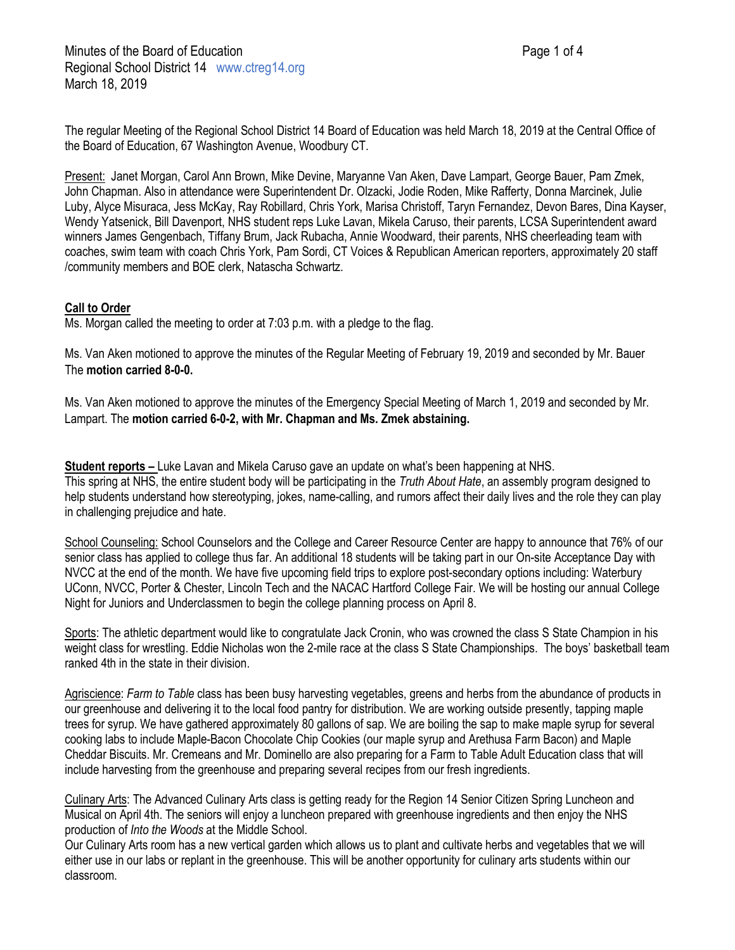The regular Meeting of the Regional School District 14 Board of Education was held March 18, 2019 at the Central Office of the Board of Education, 67 Washington Avenue, Woodbury CT.

Present: Janet Morgan, Carol Ann Brown, Mike Devine, Maryanne Van Aken, Dave Lampart, George Bauer, Pam Zmek, John Chapman. Also in attendance were Superintendent Dr. Olzacki, Jodie Roden, Mike Rafferty, Donna Marcinek, Julie Luby, Alyce Misuraca, Jess McKay, Ray Robillard, Chris York, Marisa Christoff, Taryn Fernandez, Devon Bares, Dina Kayser, Wendy Yatsenick, Bill Davenport, NHS student reps Luke Lavan, Mikela Caruso, their parents, LCSA Superintendent award winners James Gengenbach, Tiffany Brum, Jack Rubacha, Annie Woodward, their parents, NHS cheerleading team with coaches, swim team with coach Chris York, Pam Sordi, CT Voices & Republican American reporters, approximately 20 staff /community members and BOE clerk, Natascha Schwartz.

# **Call to Order**

Ms. Morgan called the meeting to order at 7:03 p.m. with a pledge to the flag.

Ms. Van Aken motioned to approve the minutes of the Regular Meeting of February 19, 2019 and seconded by Mr. Bauer The **motion carried 8-0-0.**

Ms. Van Aken motioned to approve the minutes of the Emergency Special Meeting of March 1, 2019 and seconded by Mr. Lampart. The **motion carried 6-0-2, with Mr. Chapman and Ms. Zmek abstaining.**

**Student reports –** Luke Lavan and Mikela Caruso gave an update on what's been happening at NHS. This spring at NHS, the entire student body will be participating in the *Truth About Hate*, an assembly program designed to help students understand how stereotyping, jokes, name-calling, and rumors affect their daily lives and the role they can play in challenging prejudice and hate.

School Counseling: School Counselors and the College and Career Resource Center are happy to announce that 76% of our senior class has applied to college thus far. An additional 18 students will be taking part in our On-site Acceptance Day with NVCC at the end of the month. We have five upcoming field trips to explore post-secondary options including: Waterbury UConn, NVCC, Porter & Chester, Lincoln Tech and the NACAC Hartford College Fair. We will be hosting our annual College Night for Juniors and Underclassmen to begin the college planning process on April 8.

Sports: The athletic department would like to congratulate Jack Cronin, who was crowned the class S State Champion in his weight class for wrestling. Eddie Nicholas won the 2-mile race at the class S State Championships. The boys' basketball team ranked 4th in the state in their division.

Agriscience: *Farm to Table* class has been busy harvesting vegetables, greens and herbs from the abundance of products in our greenhouse and delivering it to the local food pantry for distribution. We are working outside presently, tapping maple trees for syrup. We have gathered approximately 80 gallons of sap. We are boiling the sap to make maple syrup for several cooking labs to include Maple-Bacon Chocolate Chip Cookies (our maple syrup and Arethusa Farm Bacon) and Maple Cheddar Biscuits. Mr. Cremeans and Mr. Dominello are also preparing for a Farm to Table Adult Education class that will include harvesting from the greenhouse and preparing several recipes from our fresh ingredients.

Culinary Arts: The Advanced Culinary Arts class is getting ready for the Region 14 Senior Citizen Spring Luncheon and Musical on April 4th. The seniors will enjoy a luncheon prepared with greenhouse ingredients and then enjoy the NHS production of *Into the Woods* at the Middle School.

Our Culinary Arts room has a new vertical garden which allows us to plant and cultivate herbs and vegetables that we will either use in our labs or replant in the greenhouse. This will be another opportunity for culinary arts students within our classroom.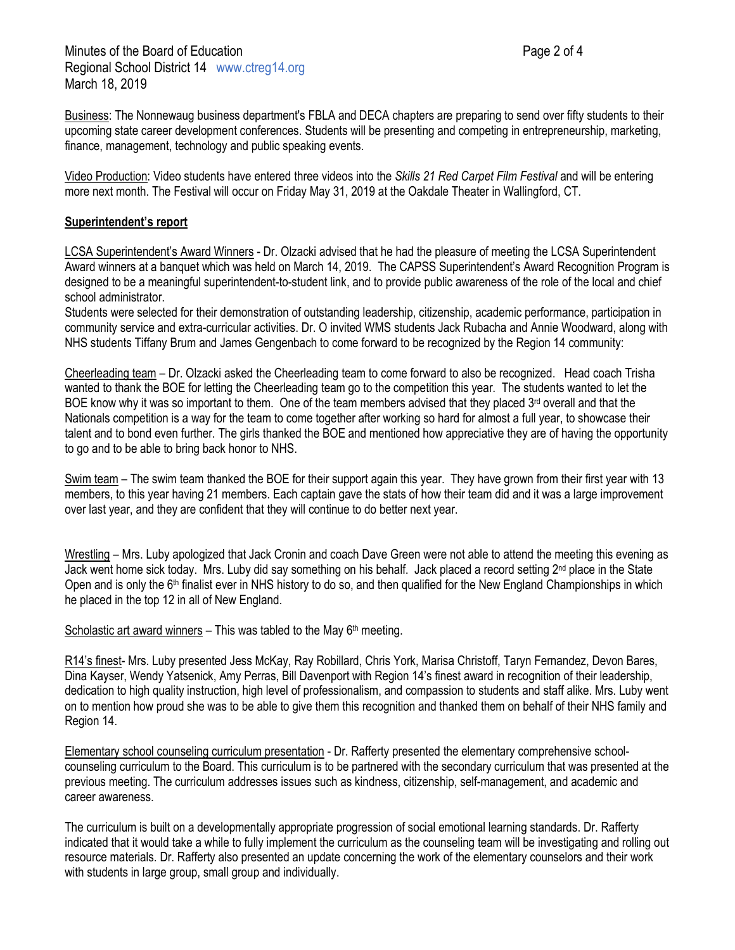finance, management, technology and public speaking events.

Business: The Nonnewaug business department's FBLA and DECA chapters are preparing to send over fifty students to their upcoming state career development conferences. Students will be presenting and competing in entrepreneurship, marketing,

Video Production: Video students have entered three videos into the *Skills 21 Red Carpet Film Festival* and will be entering more next month. The Festival will occur on Friday May 31, 2019 at the Oakdale Theater in Wallingford, CT.

## **Superintendent's report**

LCSA Superintendent's Award Winners - Dr. Olzacki advised that he had the pleasure of meeting the LCSA Superintendent Award winners at a banquet which was held on March 14, 2019. The CAPSS Superintendent's Award Recognition Program is designed to be a meaningful superintendent-to-student link, and to provide public awareness of the role of the local and chief school administrator.

Students were selected for their demonstration of outstanding leadership, citizenship, academic performance, participation in community service and extra-curricular activities. Dr. O invited WMS students Jack Rubacha and Annie Woodward, along with NHS students Tiffany Brum and James Gengenbach to come forward to be recognized by the Region 14 community:

Cheerleading team – Dr. Olzacki asked the Cheerleading team to come forward to also be recognized. Head coach Trisha wanted to thank the BOE for letting the Cheerleading team go to the competition this year. The students wanted to let the BOE know why it was so important to them. One of the team members advised that they placed  $3<sup>rd</sup>$  overall and that the Nationals competition is a way for the team to come together after working so hard for almost a full year, to showcase their talent and to bond even further. The girls thanked the BOE and mentioned how appreciative they are of having the opportunity to go and to be able to bring back honor to NHS.

Swim team – The swim team thanked the BOE for their support again this year. They have grown from their first year with 13 members, to this year having 21 members. Each captain gave the stats of how their team did and it was a large improvement over last year, and they are confident that they will continue to do better next year.

Wrestling – Mrs. Luby apologized that Jack Cronin and coach Dave Green were not able to attend the meeting this evening as Jack went home sick today. Mrs. Luby did say something on his behalf. Jack placed a record setting 2nd place in the State Open and is only the 6<sup>th</sup> finalist ever in NHS history to do so, and then qualified for the New England Championships in which he placed in the top 12 in all of New England.

Scholastic art award winners – This was tabled to the May  $6<sup>th</sup>$  meeting.

R14's finest- Mrs. Luby presented Jess McKay, Ray Robillard, Chris York, Marisa Christoff, Taryn Fernandez, Devon Bares, Dina Kayser, Wendy Yatsenick, Amy Perras, Bill Davenport with Region 14's finest award in recognition of their leadership, dedication to high quality instruction, high level of professionalism, and compassion to students and staff alike. Mrs. Luby went on to mention how proud she was to be able to give them this recognition and thanked them on behalf of their NHS family and Region 14.

Elementary school counseling curriculum presentation - Dr. Rafferty presented the elementary comprehensive schoolcounseling curriculum to the Board. This curriculum is to be partnered with the secondary curriculum that was presented at the previous meeting. The curriculum addresses issues such as kindness, citizenship, self-management, and academic and career awareness.

The curriculum is built on a developmentally appropriate progression of social emotional learning standards. Dr. Rafferty indicated that it would take a while to fully implement the curriculum as the counseling team will be investigating and rolling out resource materials. Dr. Rafferty also presented an update concerning the work of the elementary counselors and their work with students in large group, small group and individually.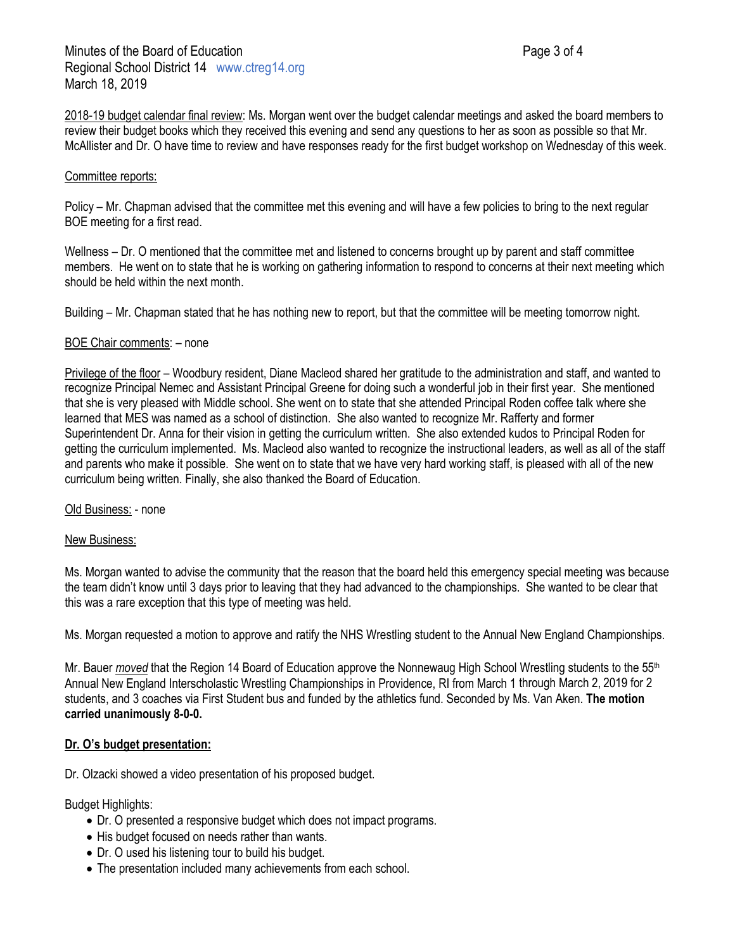2018-19 budget calendar final review: Ms. Morgan went over the budget calendar meetings and asked the board members to review their budget books which they received this evening and send any questions to her as soon as possible so that Mr. McAllister and Dr. O have time to review and have responses ready for the first budget workshop on Wednesday of this week.

### Committee reports:

Policy – Mr. Chapman advised that the committee met this evening and will have a few policies to bring to the next regular BOE meeting for a first read.

Wellness – Dr. O mentioned that the committee met and listened to concerns brought up by parent and staff committee members. He went on to state that he is working on gathering information to respond to concerns at their next meeting which should be held within the next month.

Building – Mr. Chapman stated that he has nothing new to report, but that the committee will be meeting tomorrow night.

### BOE Chair comments: – none

Privilege of the floor – Woodbury resident, Diane Macleod shared her gratitude to the administration and staff, and wanted to recognize Principal Nemec and Assistant Principal Greene for doing such a wonderful job in their first year. She mentioned that she is very pleased with Middle school. She went on to state that she attended Principal Roden coffee talk where she learned that MES was named as a school of distinction. She also wanted to recognize Mr. Rafferty and former Superintendent Dr. Anna for their vision in getting the curriculum written. She also extended kudos to Principal Roden for getting the curriculum implemented. Ms. Macleod also wanted to recognize the instructional leaders, as well as all of the staff and parents who make it possible. She went on to state that we have very hard working staff, is pleased with all of the new curriculum being written. Finally, she also thanked the Board of Education.

Old Business: - none

#### New Business:

Ms. Morgan wanted to advise the community that the reason that the board held this emergency special meeting was because the team didn't know until 3 days prior to leaving that they had advanced to the championships. She wanted to be clear that this was a rare exception that this type of meeting was held.

Ms. Morgan requested a motion to approve and ratify the NHS Wrestling student to the Annual New England Championships.

Mr. Bauer *moved* that the Region 14 Board of Education approve the Nonnewaug High School Wrestling students to the 55<sup>th</sup> Annual New England Interscholastic Wrestling Championships in Providence, RI from March 1 through March 2, 2019 for 2 students, and 3 coaches via First Student bus and funded by the athletics fund. Seconded by Ms. Van Aken. **The motion carried unanimously 8-0-0.**

#### **Dr. O's budget presentation:**

Dr. Olzacki showed a video presentation of his proposed budget.

Budget Highlights:

- Dr. O presented a responsive budget which does not impact programs.
- His budget focused on needs rather than wants.
- Dr. O used his listening tour to build his budget.
- The presentation included many achievements from each school.